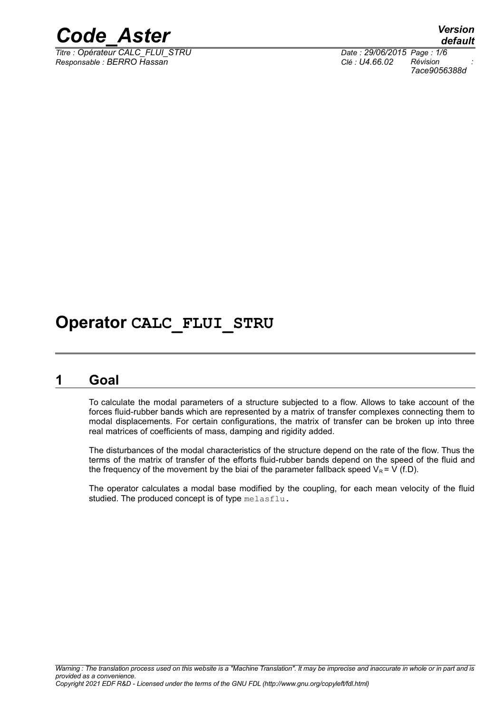

*Titre : Opérateur CALC\_FLUI\_STRU Date : 29/06/2015 Page : 1/6 Responsable : BERRO Hassan Clé : U4.66.02 Révision :*

*default 7ace9056388d*

### **Operator CALC\_FLUI\_STRU**

### **1 Goal**

To calculate the modal parameters of a structure subjected to a flow. Allows to take account of the forces fluid-rubber bands which are represented by a matrix of transfer complexes connecting them to modal displacements. For certain configurations, the matrix of transfer can be broken up into three real matrices of coefficients of mass, damping and rigidity added.

The disturbances of the modal characteristics of the structure depend on the rate of the flow. Thus the terms of the matrix of transfer of the efforts fluid-rubber bands depend on the speed of the fluid and the frequency of the movement by the biai of the parameter fallback speed  $V_R = V (f.D)$ .

The operator calculates a modal base modified by the coupling, for each mean velocity of the fluid studied. The produced concept is of type melasflu.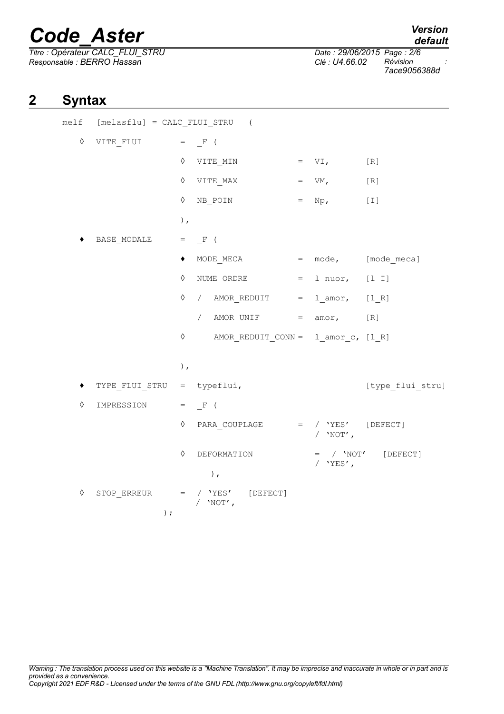*Titre : Opérateur CALC\_FLUI\_STRU Date : 29/06/2015 Page : 2/6 Responsable : BERRO Hassan Clé : U4.66.02 Révision :*

*7ace9056388d*

### **2 Syntax**

|            | melf [melasflu] = CALC_FLUI_STRU (                                        |        |                                                                                                                                  |  |             |                        |
|------------|---------------------------------------------------------------------------|--------|----------------------------------------------------------------------------------------------------------------------------------|--|-------------|------------------------|
| ♦          | $\begin{array}{ccccccccc}\n\text{VITE\_FLUI} & = & \_F & (\\ \end{array}$ |        |                                                                                                                                  |  |             |                        |
|            |                                                                           |        | $\lozenge \quad \text{VITE\_MIN} \qquad = \quad \text{VI}, \qquad \qquad \text{[R]}$                                             |  |             |                        |
|            |                                                                           |        | $\Diamond$ VITE MAX = VM, [R]                                                                                                    |  |             |                        |
|            |                                                                           |        | $\lozenge$ NB_POIN                                                                                                               |  | $=$ Np, [I] |                        |
|            |                                                                           | $\,$ , |                                                                                                                                  |  |             |                        |
|            |                                                                           |        |                                                                                                                                  |  |             |                        |
|            |                                                                           | ٠      | MODE MECA $=$ mode, $[$ mode meca]                                                                                               |  |             |                        |
|            |                                                                           |        | $\Diamond$ NUME ORDRE = $l$ <sup>n</sup> uor, $[l_l]$                                                                            |  |             |                        |
|            |                                                                           |        | $\Diamond$ / AMOR_REDUIT = $l_{\text{amor}}$ , $[l_{R}]$                                                                         |  |             |                        |
|            |                                                                           |        | / AMOR UNIF $=$ amor, $[R]$                                                                                                      |  |             |                        |
|            |                                                                           |        | $\Diamond$ AMOR_REDUIT_CONN = $l_{\text{amor}_c}$ , [1_R]                                                                        |  |             |                        |
|            |                                                                           |        |                                                                                                                                  |  |             |                        |
|            |                                                                           | $)$ ,  |                                                                                                                                  |  |             |                        |
|            | $\texttt{TYPE\_FLUI\_STRU}$ = typeflui,                                   |        |                                                                                                                                  |  |             | [type flui stru]       |
| $\Diamond$ | IMPRESSION = $_F$ (                                                       |        |                                                                                                                                  |  |             |                        |
|            |                                                                           |        | $\Diamond$ PARA COUPLAGE = / 'YES' [DEFECT]                                                                                      |  | / $'$ NOT', |                        |
|            |                                                                           |        | $\Diamond$ DEFORMATION                                                                                                           |  |             | $=$ / $'NOT'$ [DEFECT] |
|            |                                                                           |        | $)$ ,                                                                                                                            |  | / $'YES'$ , |                        |
| $\Diamond$ | ) $\,$ ;                                                                  |        | $\begin{tabular}{lllll} \texttt{STOP\_ERREUR} & = & / & \texttt{YES} & \texttt{[DEFECT]} \end{tabular}$<br>/ $'$ NOT $^\prime$ , |  |             |                        |
|            |                                                                           |        |                                                                                                                                  |  |             |                        |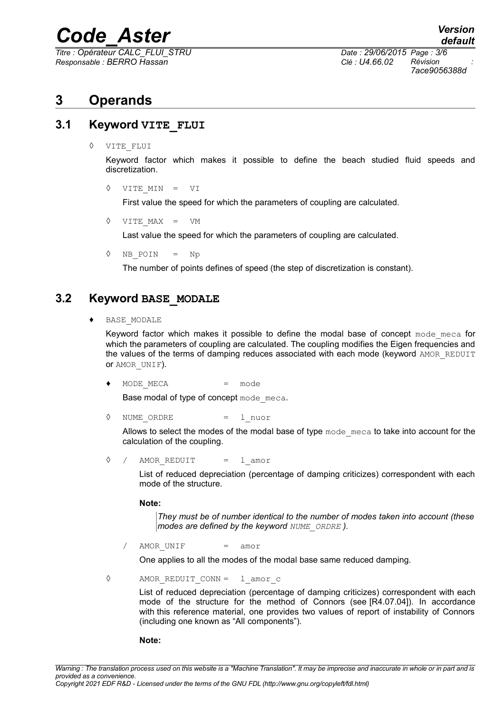*Titre : Opérateur CALC\_FLUI\_STRU Date : 29/06/2015 Page : 3/6 Responsable : BERRO Hassan Clé : U4.66.02 Révision :*

*7ace9056388d*

### **3 Operands**

### **3.1 Keyword VITE\_FLUI**

◊ VITE\_FLUI

Keyword factor which makes it possible to define the beach studied fluid speeds and discretization.

◊ VITE\_MIN = VI

First value the speed for which the parameters of coupling are calculated.

◊ VITE\_MAX = VM

Last value the speed for which the parameters of coupling are calculated.

◊ NB\_POIN = Np

The number of points defines of speed (the step of discretization is constant).

### **3.2 Keyword BASE\_MODALE**

♦ BASE\_MODALE

Keyword factor which makes it possible to define the modal base of concept mode meca for which the parameters of coupling are calculated. The coupling modifies the Eigen frequencies and the values of the terms of damping reduces associated with each mode (keyword AMOR\_REDUIT or AMOR\_UNIF).

MODE MECA = mode

Base modal of type of concept mode meca.

◊ NUME\_ORDRE = l\_nuor

Allows to select the modes of the modal base of type mode meca to take into account for the calculation of the coupling.

◊ / AMOR\_REDUIT = l\_amor

List of reduced depreciation (percentage of damping criticizes) correspondent with each mode of the structure.

**Note:**

*They must be of number identical to the number of modes taken into account (these modes are defined by the keyword NUME\_ORDRE ).*

/ AMORUNIF = amor

One applies to all the modes of the modal base same reduced damping.

◊ AMOR\_REDUIT\_CONN = l\_amor\_c

List of reduced depreciation (percentage of damping criticizes) correspondent with each mode of the structure for the method of Connors (see [R4.07.04]). In accordance with this reference material, one provides two values of report of instability of Connors (including one known as "All components").

**Note:**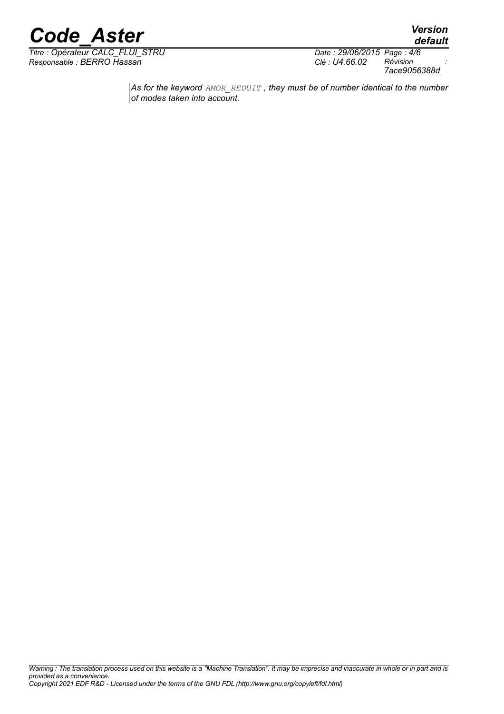

*Titre : Opérateur CALC\_FLUI\_STRU Date : 29/06/2015 Page : 4/6 Responsable : BERRO Hassan Clé : U4.66.02 Révision :*

*7ace9056388d*

*default*

*As for the keyword AMOR\_REDUIT , they must be of number identical to the number of modes taken into account.*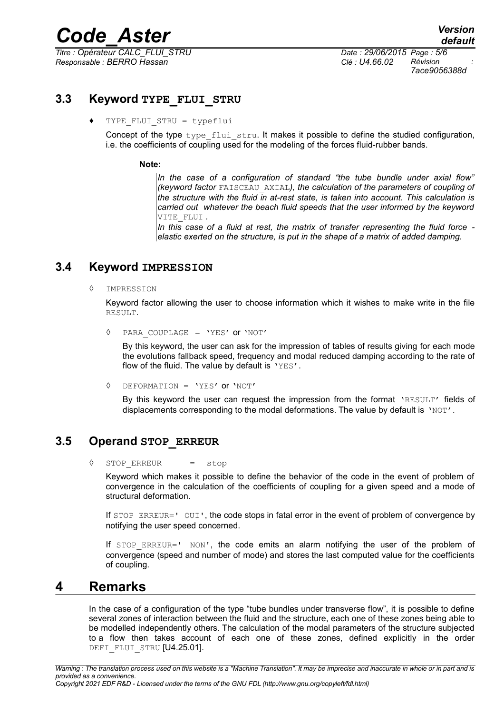*Titre : Opérateur CALC\_FLUI\_STRU Date : 29/06/2015 Page : 5/6 Responsable : BERRO Hassan Clé : U4.66.02 Révision :*

*7ace9056388d*

### **3.3 Keyword TYPE\_FLUI\_STRU**

♦ TYPE\_FLUI\_STRU = typeflui

Concept of the type type flui stru. It makes it possible to define the studied configuration, i.e. the coefficients of coupling used for the modeling of the forces fluid-rubber bands.

#### **Note:**

*In the case of a configuration of standard "the tube bundle under axial flow" (keyword factor* FAISCEAU\_AXIAL*), the calculation of the parameters of coupling of the structure with the fluid in at-rest state, is taken into account. This calculation is carried out whatever the beach fluid speeds that the user informed by the keyword* VITE\_FLUI *.*

*In this case of a fluid at rest, the matrix of transfer representing the fluid force elastic exerted on the structure, is put in the shape of a matrix of added damping.*

### **3.4 Keyword IMPRESSION**

◊ IMPRESSION

Keyword factor allowing the user to choose information which it wishes to make write in the file RESULT.

◊ PARA\_COUPLAGE = 'YES' or 'NOT'

By this keyword, the user can ask for the impression of tables of results giving for each mode the evolutions fallback speed, frequency and modal reduced damping according to the rate of flow of the fluid. The value by default is  $'YES'$ .

◊ DEFORMATION = 'YES' or 'NOT'

By this keyword the user can request the impression from the format 'RESULT' fields of displacements corresponding to the modal deformations. The value by default is 'NOT'.

### **3.5 Operand STOP\_ERREUR**

◊ STOP\_ERREUR = stop

Keyword which makes it possible to define the behavior of the code in the event of problem of convergence in the calculation of the coefficients of coupling for a given speed and a mode of structural deformation.

If  $STOP$  ERREUR='  $OUT'$ , the code stops in fatal error in the event of problem of convergence by notifying the user speed concerned.

If  $STOP$   $ERREUR = ' NON'$ , the code emits an alarm notifying the user of the problem of convergence (speed and number of mode) and stores the last computed value for the coefficients of coupling.

### **4 Remarks**

In the case of a configuration of the type "tube bundles under transverse flow", it is possible to define several zones of interaction between the fluid and the structure, each one of these zones being able to be modelled independently others. The calculation of the modal parameters of the structure subjected to a flow then takes account of each one of these zones, defined explicitly in the order DEFI\_FLUI\_STRU [U4.25.01].